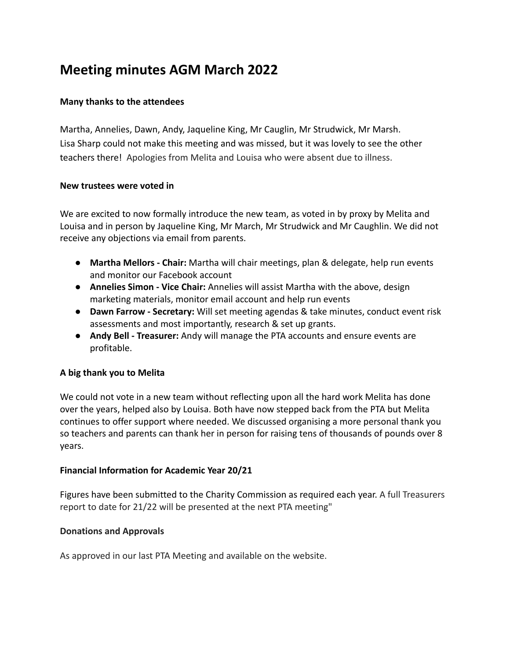# **Meeting minutes AGM March 2022**

#### **Many thanks to the attendees**

Martha, Annelies, Dawn, Andy, Jaqueline King, Mr Cauglin, Mr Strudwick, Mr Marsh. Lisa Sharp could not make this meeting and was missed, but it was lovely to see the other teachers there! Apologies from Melita and Louisa who were absent due to illness.

#### **New trustees were voted in**

We are excited to now formally introduce the new team, as voted in by proxy by Melita and Louisa and in person by Jaqueline King, Mr March, Mr Strudwick and Mr Caughlin. We did not receive any objections via email from parents.

- **Martha Mellors Chair:** Martha will chair meetings, plan & delegate, help run events and monitor our Facebook account
- **Annelies Simon Vice Chair:** Annelies will assist Martha with the above, design marketing materials, monitor email account and help run events
- **Dawn Farrow Secretary:** Will set meeting agendas & take minutes, conduct event risk assessments and most importantly, research & set up grants.
- **Andy Bell Treasurer:** Andy will manage the PTA accounts and ensure events are profitable.

# **A big thank you to Melita**

We could not vote in a new team without reflecting upon all the hard work Melita has done over the years, helped also by Louisa. Both have now stepped back from the PTA but Melita continues to offer support where needed. We discussed organising a more personal thank you so teachers and parents can thank her in person for raising tens of thousands of pounds over 8 years.

#### **Financial Information for Academic Year 20/21**

Figures have been submitted to the Charity Commission as required each year. A full Treasurers report to date for 21/22 will be presented at the next PTA meeting"

#### **Donations and Approvals**

As approved in our last PTA Meeting and available on the website.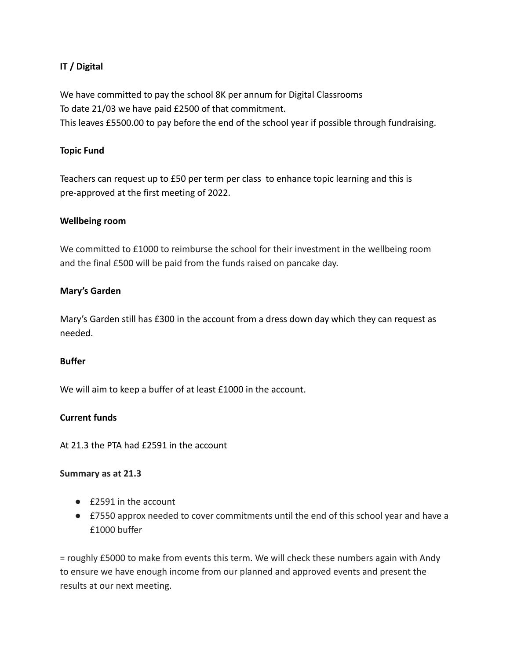# **IT / Digital**

We have committed to pay the school 8K per annum for Digital Classrooms To date 21/03 we have paid £2500 of that commitment. This leaves £5500.00 to pay before the end of the school year if possible through fundraising.

## **Topic Fund**

Teachers can request up to £50 per term per class to enhance topic learning and this is pre-approved at the first meeting of 2022.

#### **Wellbeing room**

We committed to £1000 to reimburse the school for their investment in the wellbeing room and the final £500 will be paid from the funds raised on pancake day.

#### **Mary's Garden**

Mary's Garden still has £300 in the account from a dress down day which they can request as needed.

#### **Buffer**

We will aim to keep a buffer of at least £1000 in the account.

#### **Current funds**

At 21.3 the PTA had £2591 in the account

#### **Summary as at 21.3**

- £2591 in the account
- £7550 approx needed to cover commitments until the end of this school year and have a £1000 buffer

= roughly £5000 to make from events this term. We will check these numbers again with Andy to ensure we have enough income from our planned and approved events and present the results at our next meeting.